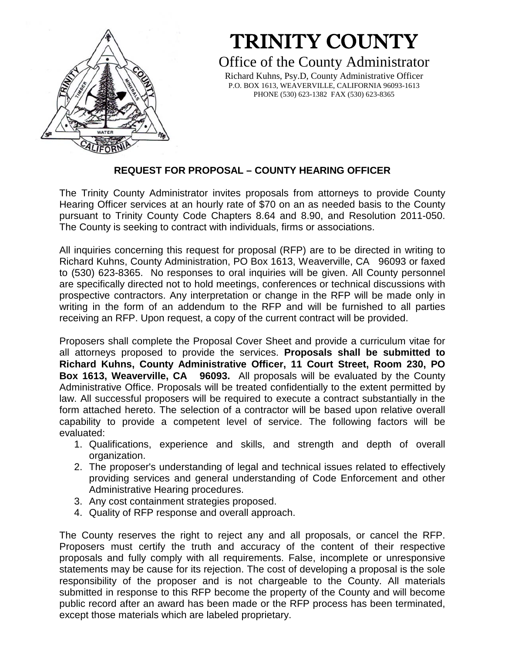

# TRINITY COUNTY

# Office of the County Administrator

Richard Kuhns, Psy.D, County Administrative Officer P.O. BOX 1613, WEAVERVILLE, CALIFORNIA 96093-1613 PHONE (530) 623-1382 FAX (530) 623-8365

# **REQUEST FOR PROPOSAL – COUNTY HEARING OFFICER**

The Trinity County Administrator invites proposals from attorneys to provide County Hearing Officer services at an hourly rate of \$70 on an as needed basis to the County pursuant to Trinity County Code Chapters 8.64 and 8.90, and Resolution 2011-050. The County is seeking to contract with individuals, firms or associations.

All inquiries concerning this request for proposal (RFP) are to be directed in writing to Richard Kuhns, County Administration, PO Box 1613, Weaverville, CA 96093 or faxed to (530) 623-8365. No responses to oral inquiries will be given. All County personnel are specifically directed not to hold meetings, conferences or technical discussions with prospective contractors. Any interpretation or change in the RFP will be made only in writing in the form of an addendum to the RFP and will be furnished to all parties receiving an RFP. Upon request, a copy of the current contract will be provided.

Proposers shall complete the Proposal Cover Sheet and provide a curriculum vitae for all attorneys proposed to provide the services. **Proposals shall be submitted to Richard Kuhns, County Administrative Officer, 11 Court Street, Room 230, PO Box 1613, Weaverville, CA 96093.** All proposals will be evaluated by the County Administrative Office. Proposals will be treated confidentially to the extent permitted by law. All successful proposers will be required to execute a contract substantially in the form attached hereto. The selection of a contractor will be based upon relative overall capability to provide a competent level of service. The following factors will be evaluated:

- 1. Qualifications, experience and skills, and strength and depth of overall organization.
- 2. The proposer's understanding of legal and technical issues related to effectively providing services and general understanding of Code Enforcement and other Administrative Hearing procedures.
- 3. Any cost containment strategies proposed.
- 4. Quality of RFP response and overall approach.

The County reserves the right to reject any and all proposals, or cancel the RFP. Proposers must certify the truth and accuracy of the content of their respective proposals and fully comply with all requirements. False, incomplete or unresponsive statements may be cause for its rejection. The cost of developing a proposal is the sole responsibility of the proposer and is not chargeable to the County. All materials submitted in response to this RFP become the property of the County and will become public record after an award has been made or the RFP process has been terminated, except those materials which are labeled proprietary.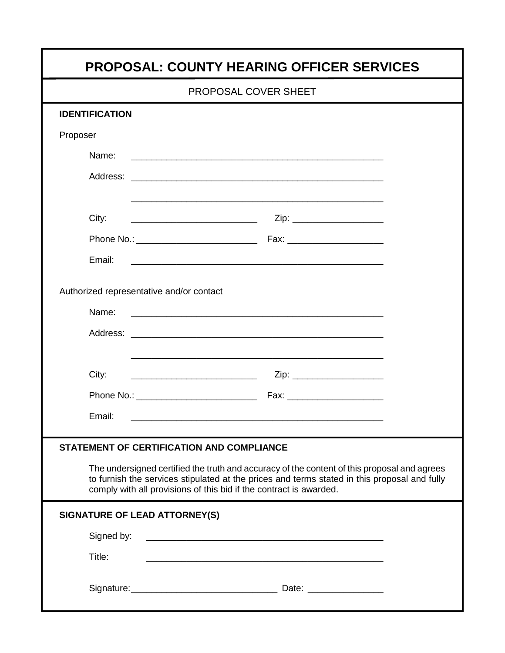| PROPOSAL COVER SHEET                              |                                                                                                                                                                                                                                                                   |  |
|---------------------------------------------------|-------------------------------------------------------------------------------------------------------------------------------------------------------------------------------------------------------------------------------------------------------------------|--|
| <b>IDENTIFICATION</b>                             |                                                                                                                                                                                                                                                                   |  |
| Proposer                                          |                                                                                                                                                                                                                                                                   |  |
|                                                   |                                                                                                                                                                                                                                                                   |  |
|                                                   |                                                                                                                                                                                                                                                                   |  |
| City:                                             | <u> 1989 - Johann Harry Harry Harry Harry Harry Harry Harry Harry Harry Harry Harry Harry Harry Harry Harry Harry</u>                                                                                                                                             |  |
|                                                   |                                                                                                                                                                                                                                                                   |  |
| Email:                                            | <u> 1999 - Johann John Harry Harry Harry Harry Harry Harry Harry Harry Harry Harry Harry Harry Harry Harry Harry H</u>                                                                                                                                            |  |
| Authorized representative and/or contact<br>Name: |                                                                                                                                                                                                                                                                   |  |
|                                                   |                                                                                                                                                                                                                                                                   |  |
| City:                                             | <u> Alexandro Alexandro Alexandro Alexandro Alexandro Alexandro Alexandro Alexandro Alexandro Alexandro Alexandro A</u>                                                                                                                                           |  |
|                                                   |                                                                                                                                                                                                                                                                   |  |
| Email:                                            |                                                                                                                                                                                                                                                                   |  |
| <b>STATEMENT OF CERTIFICATION AND COMPLIANCE</b>  |                                                                                                                                                                                                                                                                   |  |
|                                                   | The undersigned certified the truth and accuracy of the content of this proposal and agrees<br>to furnish the services stipulated at the prices and terms stated in this proposal and fully<br>comply with all provisions of this bid if the contract is awarded. |  |
| SIGNATURE OF LEAD ATTORNEY(S)                     |                                                                                                                                                                                                                                                                   |  |
| Signed by:                                        |                                                                                                                                                                                                                                                                   |  |
| Title:                                            | <u> 1989 - Johann John Stoff, deutscher Stoffen und der Stoffen und der Stoffen und der Stoffen und der Stoffen</u>                                                                                                                                               |  |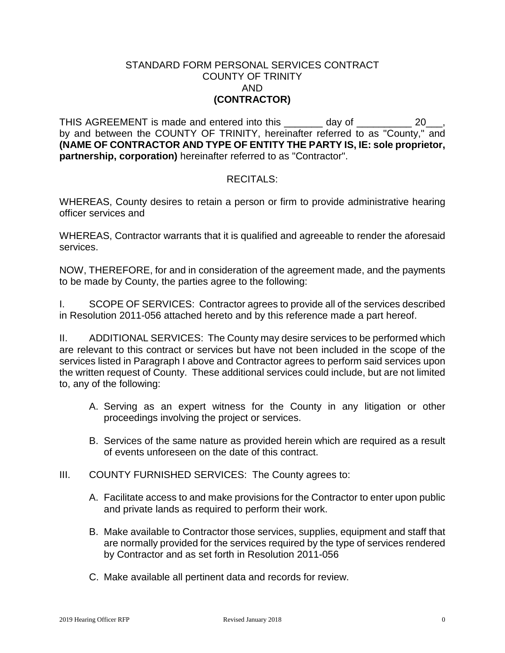#### STANDARD FORM PERSONAL SERVICES CONTRACT COUNTY OF TRINITY AND **(CONTRACTOR)**

THIS AGREEMENT is made and entered into this \_\_\_\_\_\_\_ day of \_\_\_\_\_\_\_\_\_ 20\_\_, by and between the COUNTY OF TRINITY, hereinafter referred to as "County," and **(NAME OF CONTRACTOR AND TYPE OF ENTITY THE PARTY IS, IE: sole proprietor, partnership, corporation)** hereinafter referred to as "Contractor".

## RECITALS:

WHEREAS, County desires to retain a person or firm to provide administrative hearing officer services and

WHEREAS, Contractor warrants that it is qualified and agreeable to render the aforesaid services.

NOW, THEREFORE, for and in consideration of the agreement made, and the payments to be made by County, the parties agree to the following:

I. SCOPE OF SERVICES: Contractor agrees to provide all of the services described in Resolution 2011-056 attached hereto and by this reference made a part hereof.

II. ADDITIONAL SERVICES: The County may desire services to be performed which are relevant to this contract or services but have not been included in the scope of the services listed in Paragraph I above and Contractor agrees to perform said services upon the written request of County. These additional services could include, but are not limited to, any of the following:

- A. Serving as an expert witness for the County in any litigation or other proceedings involving the project or services.
- B. Services of the same nature as provided herein which are required as a result of events unforeseen on the date of this contract.
- III. COUNTY FURNISHED SERVICES: The County agrees to:
	- A. Facilitate access to and make provisions for the Contractor to enter upon public and private lands as required to perform their work.
	- B. Make available to Contractor those services, supplies, equipment and staff that are normally provided for the services required by the type of services rendered by Contractor and as set forth in Resolution 2011-056
	- C. Make available all pertinent data and records for review.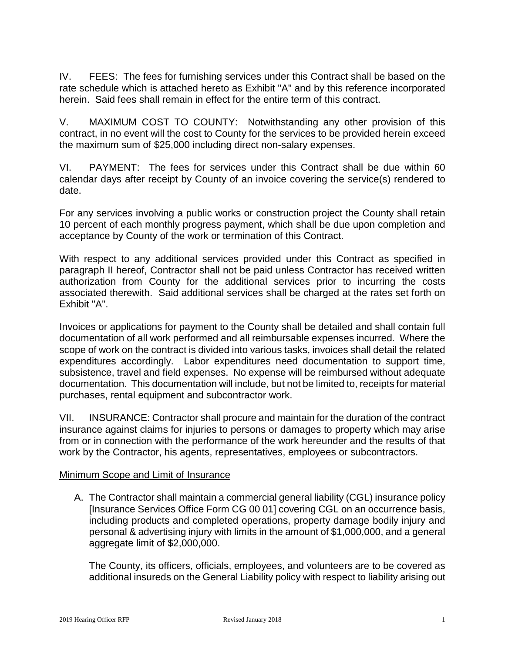IV. FEES: The fees for furnishing services under this Contract shall be based on the rate schedule which is attached hereto as Exhibit "A" and by this reference incorporated herein. Said fees shall remain in effect for the entire term of this contract.

V. MAXIMUM COST TO COUNTY: Notwithstanding any other provision of this contract, in no event will the cost to County for the services to be provided herein exceed the maximum sum of \$25,000 including direct non-salary expenses.

VI. PAYMENT: The fees for services under this Contract shall be due within 60 calendar days after receipt by County of an invoice covering the service(s) rendered to date.

For any services involving a public works or construction project the County shall retain 10 percent of each monthly progress payment, which shall be due upon completion and acceptance by County of the work or termination of this Contract.

With respect to any additional services provided under this Contract as specified in paragraph II hereof, Contractor shall not be paid unless Contractor has received written authorization from County for the additional services prior to incurring the costs associated therewith. Said additional services shall be charged at the rates set forth on Exhibit "A".

Invoices or applications for payment to the County shall be detailed and shall contain full documentation of all work performed and all reimbursable expenses incurred. Where the scope of work on the contract is divided into various tasks, invoices shall detail the related expenditures accordingly. Labor expenditures need documentation to support time, subsistence, travel and field expenses. No expense will be reimbursed without adequate documentation. This documentation will include, but not be limited to, receipts for material purchases, rental equipment and subcontractor work.

VII. INSURANCE: Contractor shall procure and maintain for the duration of the contract insurance against claims for injuries to persons or damages to property which may arise from or in connection with the performance of the work hereunder and the results of that work by the Contractor, his agents, representatives, employees or subcontractors.

## Minimum Scope and Limit of Insurance

A. The Contractor shall maintain a commercial general liability (CGL) insurance policy [Insurance Services Office Form CG 00 01] covering CGL on an occurrence basis, including products and completed operations, property damage bodily injury and personal & advertising injury with limits in the amount of \$1,000,000, and a general aggregate limit of \$2,000,000.

The County, its officers, officials, employees, and volunteers are to be covered as additional insureds on the General Liability policy with respect to liability arising out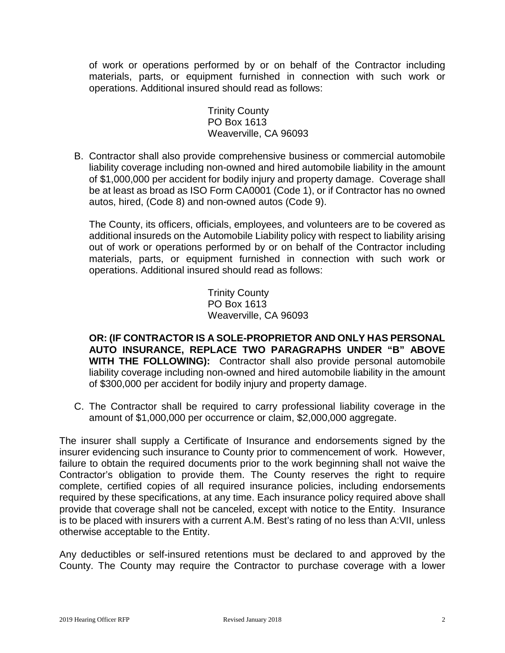of work or operations performed by or on behalf of the Contractor including materials, parts, or equipment furnished in connection with such work or operations. Additional insured should read as follows:

> Trinity County PO Box 1613 Weaverville, CA 96093

B. Contractor shall also provide comprehensive business or commercial automobile liability coverage including non-owned and hired automobile liability in the amount of \$1,000,000 per accident for bodily injury and property damage. Coverage shall be at least as broad as ISO Form CA0001 (Code 1), or if Contractor has no owned autos, hired, (Code 8) and non-owned autos (Code 9).

The County, its officers, officials, employees, and volunteers are to be covered as additional insureds on the Automobile Liability policy with respect to liability arising out of work or operations performed by or on behalf of the Contractor including materials, parts, or equipment furnished in connection with such work or operations. Additional insured should read as follows:

> Trinity County PO Box 1613 Weaverville, CA 96093

**OR: (IF CONTRACTOR IS A SOLE-PROPRIETOR AND ONLY HAS PERSONAL AUTO INSURANCE, REPLACE TWO PARAGRAPHS UNDER "B" ABOVE WITH THE FOLLOWING):** Contractor shall also provide personal automobile liability coverage including non-owned and hired automobile liability in the amount of \$300,000 per accident for bodily injury and property damage.

C. The Contractor shall be required to carry professional liability coverage in the amount of \$1,000,000 per occurrence or claim, \$2,000,000 aggregate.

The insurer shall supply a Certificate of Insurance and endorsements signed by the insurer evidencing such insurance to County prior to commencement of work. However, failure to obtain the required documents prior to the work beginning shall not waive the Contractor's obligation to provide them. The County reserves the right to require complete, certified copies of all required insurance policies, including endorsements required by these specifications, at any time. Each insurance policy required above shall provide that coverage shall not be canceled, except with notice to the Entity. Insurance is to be placed with insurers with a current A.M. Best's rating of no less than A:VII, unless otherwise acceptable to the Entity.

Any deductibles or self-insured retentions must be declared to and approved by the County. The County may require the Contractor to purchase coverage with a lower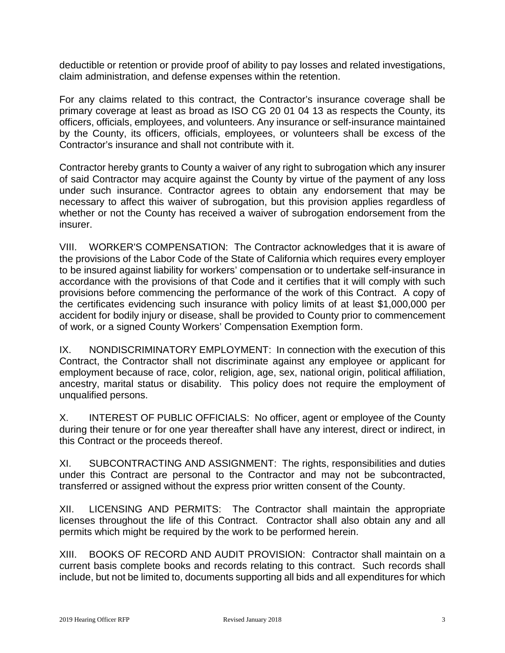deductible or retention or provide proof of ability to pay losses and related investigations, claim administration, and defense expenses within the retention.

For any claims related to this contract, the Contractor's insurance coverage shall be primary coverage at least as broad as ISO CG 20 01 04 13 as respects the County, its officers, officials, employees, and volunteers. Any insurance or self-insurance maintained by the County, its officers, officials, employees, or volunteers shall be excess of the Contractor's insurance and shall not contribute with it.

Contractor hereby grants to County a waiver of any right to subrogation which any insurer of said Contractor may acquire against the County by virtue of the payment of any loss under such insurance. Contractor agrees to obtain any endorsement that may be necessary to affect this waiver of subrogation, but this provision applies regardless of whether or not the County has received a waiver of subrogation endorsement from the insurer.

VIII. WORKER'S COMPENSATION: The Contractor acknowledges that it is aware of the provisions of the Labor Code of the State of California which requires every employer to be insured against liability for workers' compensation or to undertake self-insurance in accordance with the provisions of that Code and it certifies that it will comply with such provisions before commencing the performance of the work of this Contract. A copy of the certificates evidencing such insurance with policy limits of at least \$1,000,000 per accident for bodily injury or disease, shall be provided to County prior to commencement of work, or a signed County Workers' Compensation Exemption form.

IX. NONDISCRIMINATORY EMPLOYMENT: In connection with the execution of this Contract, the Contractor shall not discriminate against any employee or applicant for employment because of race, color, religion, age, sex, national origin, political affiliation, ancestry, marital status or disability. This policy does not require the employment of unqualified persons.

X. INTEREST OF PUBLIC OFFICIALS: No officer, agent or employee of the County during their tenure or for one year thereafter shall have any interest, direct or indirect, in this Contract or the proceeds thereof.

XI. SUBCONTRACTING AND ASSIGNMENT: The rights, responsibilities and duties under this Contract are personal to the Contractor and may not be subcontracted, transferred or assigned without the express prior written consent of the County.

XII. LICENSING AND PERMITS: The Contractor shall maintain the appropriate licenses throughout the life of this Contract. Contractor shall also obtain any and all permits which might be required by the work to be performed herein.

XIII. BOOKS OF RECORD AND AUDIT PROVISION: Contractor shall maintain on a current basis complete books and records relating to this contract. Such records shall include, but not be limited to, documents supporting all bids and all expenditures for which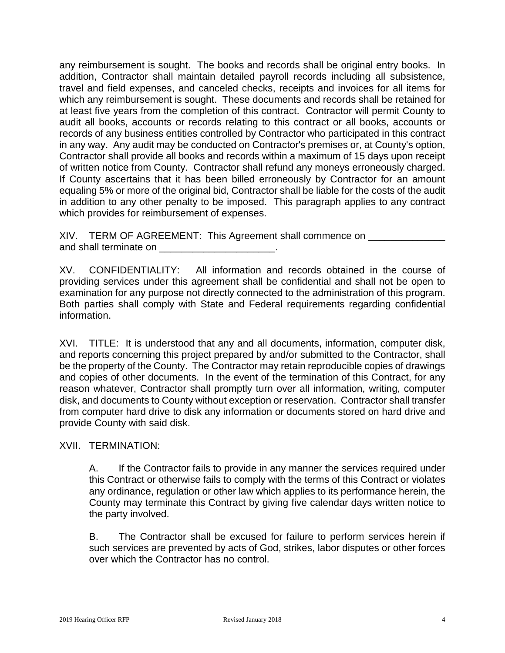any reimbursement is sought. The books and records shall be original entry books. In addition, Contractor shall maintain detailed payroll records including all subsistence, travel and field expenses, and canceled checks, receipts and invoices for all items for which any reimbursement is sought. These documents and records shall be retained for at least five years from the completion of this contract. Contractor will permit County to audit all books, accounts or records relating to this contract or all books, accounts or records of any business entities controlled by Contractor who participated in this contract in any way. Any audit may be conducted on Contractor's premises or, at County's option, Contractor shall provide all books and records within a maximum of 15 days upon receipt of written notice from County. Contractor shall refund any moneys erroneously charged. If County ascertains that it has been billed erroneously by Contractor for an amount equaling 5% or more of the original bid, Contractor shall be liable for the costs of the audit in addition to any other penalty to be imposed. This paragraph applies to any contract which provides for reimbursement of expenses.

XIV. TERM OF AGREEMENT: This Agreement shall commence on and shall terminate on **EXALL** 

XV. CONFIDENTIALITY: All information and records obtained in the course of providing services under this agreement shall be confidential and shall not be open to examination for any purpose not directly connected to the administration of this program. Both parties shall comply with State and Federal requirements regarding confidential information.

XVI. TITLE: It is understood that any and all documents, information, computer disk, and reports concerning this project prepared by and/or submitted to the Contractor, shall be the property of the County. The Contractor may retain reproducible copies of drawings and copies of other documents. In the event of the termination of this Contract, for any reason whatever, Contractor shall promptly turn over all information, writing, computer disk, and documents to County without exception or reservation. Contractor shall transfer from computer hard drive to disk any information or documents stored on hard drive and provide County with said disk.

XVII. TERMINATION:

A. If the Contractor fails to provide in any manner the services required under this Contract or otherwise fails to comply with the terms of this Contract or violates any ordinance, regulation or other law which applies to its performance herein, the County may terminate this Contract by giving five calendar days written notice to the party involved.

B. The Contractor shall be excused for failure to perform services herein if such services are prevented by acts of God, strikes, labor disputes or other forces over which the Contractor has no control.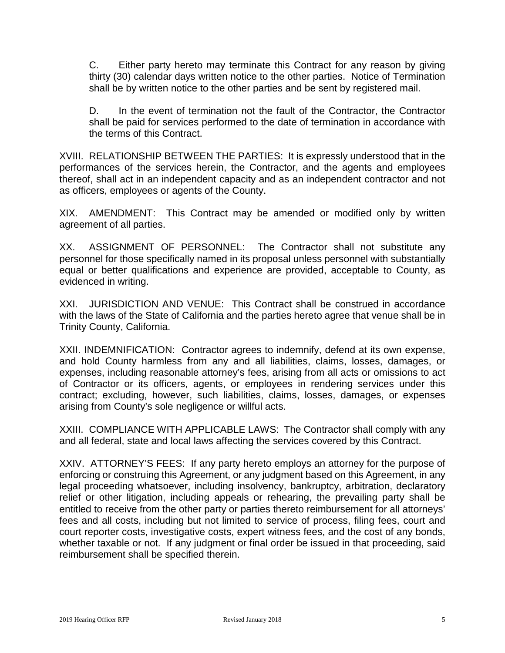C. Either party hereto may terminate this Contract for any reason by giving thirty (30) calendar days written notice to the other parties. Notice of Termination shall be by written notice to the other parties and be sent by registered mail.

D. In the event of termination not the fault of the Contractor, the Contractor shall be paid for services performed to the date of termination in accordance with the terms of this Contract.

XVIII. RELATIONSHIP BETWEEN THE PARTIES: It is expressly understood that in the performances of the services herein, the Contractor, and the agents and employees thereof, shall act in an independent capacity and as an independent contractor and not as officers, employees or agents of the County.

XIX. AMENDMENT: This Contract may be amended or modified only by written agreement of all parties.

XX. ASSIGNMENT OF PERSONNEL: The Contractor shall not substitute any personnel for those specifically named in its proposal unless personnel with substantially equal or better qualifications and experience are provided, acceptable to County, as evidenced in writing.

XXI. JURISDICTION AND VENUE: This Contract shall be construed in accordance with the laws of the State of California and the parties hereto agree that venue shall be in Trinity County, California.

XXII. INDEMNIFICATION: Contractor agrees to indemnify, defend at its own expense, and hold County harmless from any and all liabilities, claims, losses, damages, or expenses, including reasonable attorney's fees, arising from all acts or omissions to act of Contractor or its officers, agents, or employees in rendering services under this contract; excluding, however, such liabilities, claims, losses, damages, or expenses arising from County's sole negligence or willful acts.

XXIII. COMPLIANCE WITH APPLICABLE LAWS: The Contractor shall comply with any and all federal, state and local laws affecting the services covered by this Contract.

XXIV. ATTORNEY'S FEES: If any party hereto employs an attorney for the purpose of enforcing or construing this Agreement, or any judgment based on this Agreement, in any legal proceeding whatsoever, including insolvency, bankruptcy, arbitration, declaratory relief or other litigation, including appeals or rehearing, the prevailing party shall be entitled to receive from the other party or parties thereto reimbursement for all attorneys' fees and all costs, including but not limited to service of process, filing fees, court and court reporter costs, investigative costs, expert witness fees, and the cost of any bonds, whether taxable or not. If any judgment or final order be issued in that proceeding, said reimbursement shall be specified therein.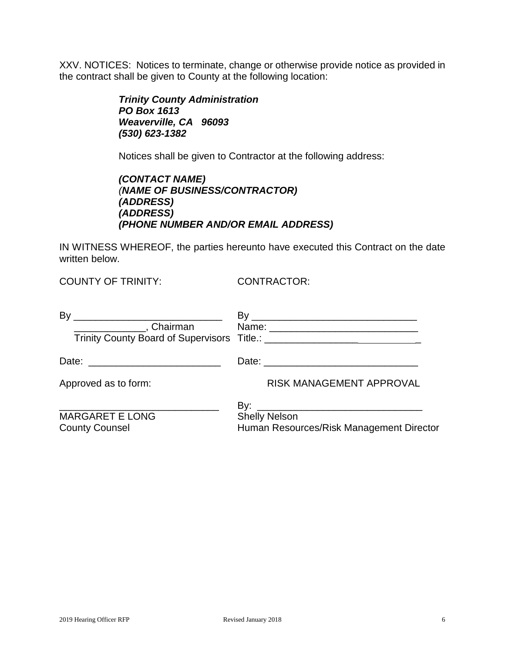XXV. NOTICES: Notices to terminate, change or otherwise provide notice as provided in the contract shall be given to County at the following location:

> *Trinity County Administration PO Box 1613 Weaverville, CA 96093 (530) 623-1382*

Notices shall be given to Contractor at the following address:

| (CONTACT NAME)                      |  |
|-------------------------------------|--|
| (NAME OF BUSINESS/CONTRACTOR)       |  |
| <i>(ADDRESS)</i>                    |  |
| <i>(ADDRESS)</i>                    |  |
| (PHONE NUMBER AND/OR EMAIL ADDRESS) |  |

IN WITNESS WHEREOF, the parties hereunto have executed this Contract on the date written below.

COUNTY OF TRINITY: CONTRACTOR:

| By                                              |                                                                  |
|-------------------------------------------------|------------------------------------------------------------------|
|                                                 |                                                                  |
| Approved as to form:                            | <b>RISK MANAGEMENT APPROVAL</b>                                  |
| <b>MARGARET E LONG</b><br><b>County Counsel</b> | <b>Shelly Nelson</b><br>Human Resources/Risk Management Director |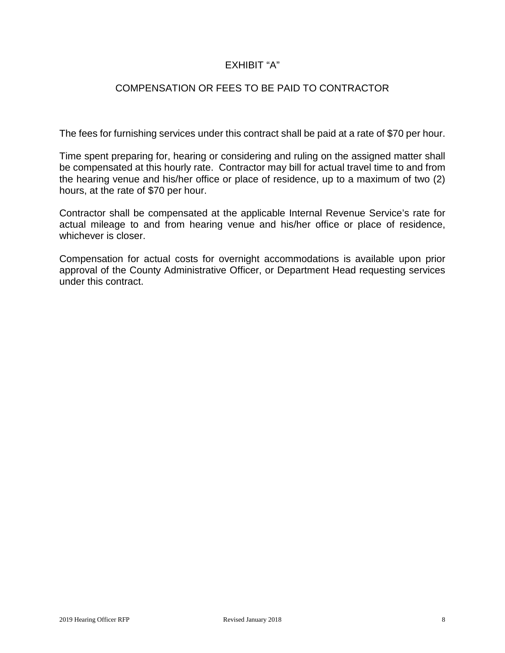# EXHIBIT "A"

# COMPENSATION OR FEES TO BE PAID TO CONTRACTOR

The fees for furnishing services under this contract shall be paid at a rate of \$70 per hour.

Time spent preparing for, hearing or considering and ruling on the assigned matter shall be compensated at this hourly rate. Contractor may bill for actual travel time to and from the hearing venue and his/her office or place of residence, up to a maximum of two (2) hours, at the rate of \$70 per hour.

Contractor shall be compensated at the applicable Internal Revenue Service's rate for actual mileage to and from hearing venue and his/her office or place of residence, whichever is closer.

Compensation for actual costs for overnight accommodations is available upon prior approval of the County Administrative Officer, or Department Head requesting services under this contract.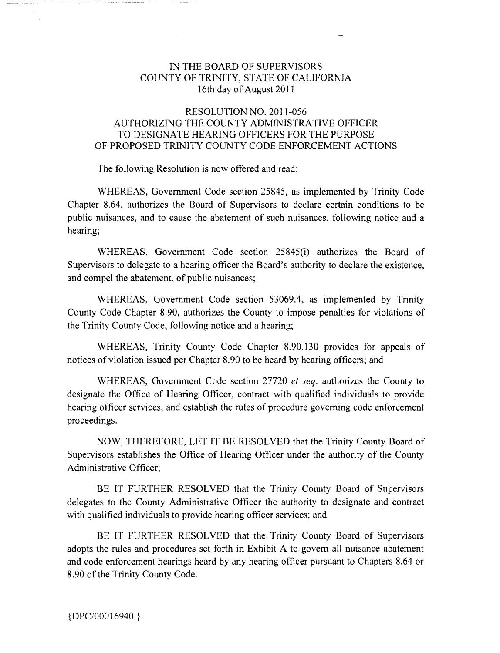#### IN THE BOARD OF SUPERVISORS IN THE BOARD OF SUPERVISORS COUNTY OF TRINITY, STATE OF CALIFORNIA COUNTY OF TRINITY, STATE OF CALIFORNIA 16th day of August 2011 16th day of August 2011

#### RESOLUTION NO. 2011-056 RESOLUTION NO. 2011-056 AUTHORIZING THE COUNTY ADMINISTRATIVE OFFICER AUTHORIZING THE COUNTY ADMINISTRATIVE OFFICER TO DESIGNATE HEARING OFFICERS FOR THE PURPOSE TO DESIGNATE HEARING OFFICERS FOR THE PURPOSE OF PROPOSED TRINITY COUNTY CODE ENFORCEMENT ACTIONS OF PROPOSED TRINITY COUNTY CODE ENFORCEMENT ACTIONS

The following Resolution is now offered and read: The following Resolution is now offered and read:

WHEREAS, Government Code section 25845, as implemented by Trinity Code WHEREAS, Government Code section 25845, as implemented by Trinity Code Chapter 8.64, authorizes the Board of Supervisors to declare certain conditions to be Chapter 8.64, authorizes the Board of Supervisors to declare certain conditions to be public nuisances, and to cause the abatement of such nuisances, following notice and a public nuisances, and to cause the abatement of such nuisances, following notice and a hearing; hearing;

WHEREAS, Government Code section 25845(i) authorizes the Board of WHEREAS, Government Code section 25845(i) authorizes the Board of Supervisors to delegate to a hearing officer the Board's authority to declare the existence, Supervisors to delegate to a hearing officer the Board's authority to declare the existence, and compel the abatement, of public nuisances; and compel the abatement, of public nuisances;

WHEREAS, Government Code section 53069.4, as implemented by Trinity WHEREAS, Government Code section 53069.4, as implemented by Trinity County Code Chapter 8.90, authorizes the County to impose penalties for violations of County Code Chapter 8.90, authorizes the County to impose penalties for violations of the Trinity County Code, following notice and a hearing; the Trinity County Code, following notice and a hearing;

WHEREAS, Trinity County Code Chapter 8.90.130 provides for appeals of WHEREAS, Trinity County Code Chapter 8.90.130 provides for appeals of notices of violation issued per Chapter 8.90 to be heard by hearing officers; and notices of violation issued per Chapter 8.90 to be heard by hearing officers; and

WHEREAS, Government Code section 27720 et seq. authorizes the County to WHEREAS, Government Code section 27720 *et seq.* authorizes the County to designate the Office of Hearing Officer, contract with qualified individuals to provide designate the Office of Hearing Officer, contract with qualified individuals to provide hearing officer services, and establish the rules of procedure governing code enforcement hearing officer services, and establish the rules of procedure governing code enforcement proceedings. proceedings.

NOW, THEREFORE, LET IT BE RESOLVED that the Trinity County Board of NOW, THEREFORE, LET IT BE RESOLVED that the Trinity County Board of Supervisors establishes the Office of Hearing Officer under the authority of the County Supervisors establishes the Office of Hearing Officer under the authority of the County Administrative Officer; Administrative Officer;

BE IT FURTHER RESOLVED that the Trinity County Board of Supervisors BE IT FURTHER RESOLVED that the Trinity County Board of Supervisors delegates to the County Administrative Officer the authority to designate and contract delegates to the County Administrative Officer the authority to designate and contract with qualified individuals to provide hearing officer services; and with qualified individuals to provide hearing officer services; and

BE IT FURTHER RESOLVED that the Trinity County Board of Supervisors BE IT FURTHER RESOLVED that the Trinity County Board of Supervisors adopts the rules and procedures set forth in Exhibit A to govern all nuisance abatement adopts the rules and procedures set forth in Exhibit A to govern all nuisance abatement and code enforcement hearings heard by any hearing officer pursuant to Chapters 8.64 or and code enforcement hearings heard by any hearing officer pursuant to Chapters 8.64 or 8.90 of the Trinity County Code. 8.90 of the Trinity County Code.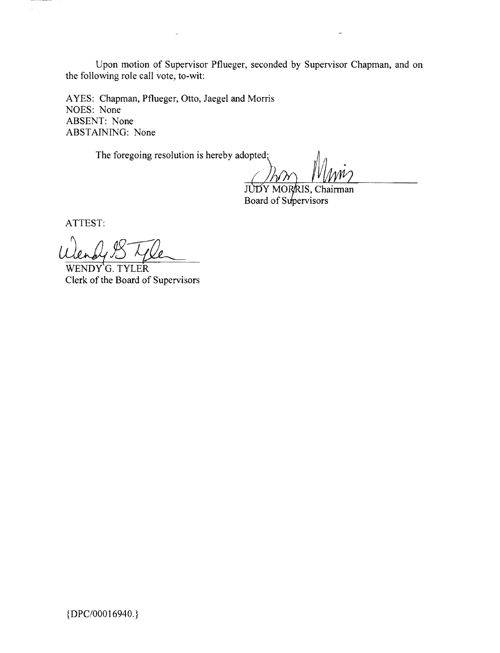Upon motion of Supervisor Pflueger, seconded by Supervisor Chapman, and on the following role call vote, to-wit: Upon motion of Supervisor Pflueger, seconded by Supervisor Chapman, and on the following role call vote, to-wit:

AYES: Chapman, Pflueger, Otto, Jaegel and Morris A YES: Chapman, Pflueger, Otto, Jaegel and Morris NOES: None NOES: None ABSENT: None ABSENT: None ABSTAINING: None ABSTAINING: None

The foregoing resolution is hereby adopted; The foregoing resolution is hereby adopted'

JUDY MORRIS, Chairman J Board of Supervisors

ATTEST: ATTEST:

 $\bar{\beta}$ 

WENDY G. TYLER Ulen by B Lyle

 ${DPC/00016940.}$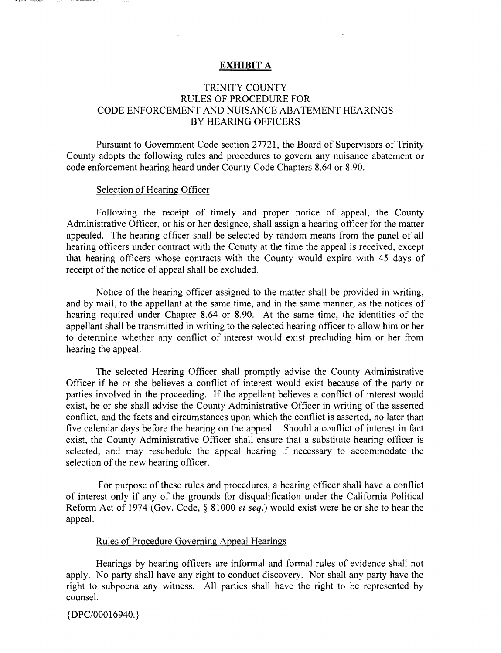#### EXHIBIT A **EXHIBIT A**

#### TRINITY COUNTY TRINITY COUNTY RULES OF PROCEDURE FOR RULES OF PROCEDURE FOR CODE ENFORCEMENT AND NUISANCE ABATEMENT HEARINGS CODE ENFORCEMENT AND NUISANCE ABATEMENT HEARINGS BY HEARING OFFICERS BY HEARING OFFICERS

Pursuant to Government Code section 27721, the Board of Supervisors of Trinity Pursuant to Government Code section 27721, the Board of Supervisors of Trinity County adopts the following rules and procedures to govern any nuisance abatement or County adopts the following rules and procedures to govern any nuisance abatement or code enforcement hearing heard under County Code Chapters 8.64 or 8.90. code enforcement hearing heard under County Code Chapters 8.64 or 8.90.

#### Selection of Hearing Officer Selection of Hearing Officer

Following the receipt of timely and proper notice of appeal, the County Following the receipt of timely and proper notice of appeal, the County Administrative Officer, or his or her designee, shall assign a hearing officer for the matter Administrative Officer, or his or her designee, shall assign a hearing officer for the matter appealed. The hearing officer shall be selected by random means from the panel of all appealed. The hearing officer shall be selected by random means from the panel of all hearing officers under contract with the County at the time the appeal is received, except hearing officers under contract with the County at the time the appeal is received, except that hearing officers whose contracts with the County would expire with 45 days of receipt of the notice of appeal shall be excluded.

Notice of the hearing officer assigned to the matter shall be provided in writing, Notice of the hearing officer assigned to the matter shall be provided in writing, and by mail, to the appellant at the same time, and in the same manner, as the notices of hearing required under Chapter 8.64 or 8.90. At the same time, the identities of the hearing required under Chapter 8.64 or 8.90. At the same time, the identities of the appellant shall be transmitted in writing to the selected hearing officer to allow him or her appellant shall be transmitted in writing to the selected hearing officer to allow him or her to determine whether any conflict of interest would exist precluding him or her from to determine whether any conflict of interest would exist precluding him or her from hearing the appeal. hearing the appeal.

The selected Hearing Officer shall promptly advise the County Administrative The selected Hearing Officer shall promptly advise the County Administrative Officer if he or she believes a conflict of interest would exist because of the party or Officer if he or she believes a conflict of interest would exist because of the party or parties involved in the proceeding. If the appellant believes a conflict of interest would parties involved in the proceeding. If the appellant believes a conflict of interest would exist, he or she shall advise the County Administrative Officer in writing of the asserted conflict, and the facts and circumstances upon which the conflict is asserted, no later than five calendar days before the hearing on the appeal. Should a conflict of interest in fact five calendar days before the hearing on the appeal. Should a conflict of interest in fact exist, the County Administrative Officer shall ensure that a substitute hearing officer is exist, the County Administrative Officer shall ensure that a substitute hearing officer is selected, and may reschedule the appeal hearing if necessary to accommodate the selected, and may reschedule the appeal hearing if necessary to accommodate the selection of the new hearing officer. selection of the new hearing officer.

For purpose of these rules and procedures, a hearing officer shall have a conflict For purpose of these rules and procedures, a hearing officer shall have a conflict of interest only if any of the grounds for disqualification under the California Political of interest only if any of the grounds for disqualification under the California Political Reform Act of 1974 (Gov. Code, § 81000 et seq.) would exist were he or she to hear the Reform Act of 1974 (Gov. Code, § 81000 *et seq.)* would exist were he or she to hear the appeal. appeal.

#### Rules of Procedure Governing Appeal Hearings Rules of Procedure Governing Appeal Hearings

Hearings by hearing officers are informal and formal rules of evidence shall not Hearings by hearing officers are informal and formal rules of evidence shall not apply. No party shall have any right to conduct discovery. Nor shall any party have the right to subpoena any witness. All parties shall have the right to be represented by counsel. counsel.

{DPC/00016940.} {DPC/00016940.}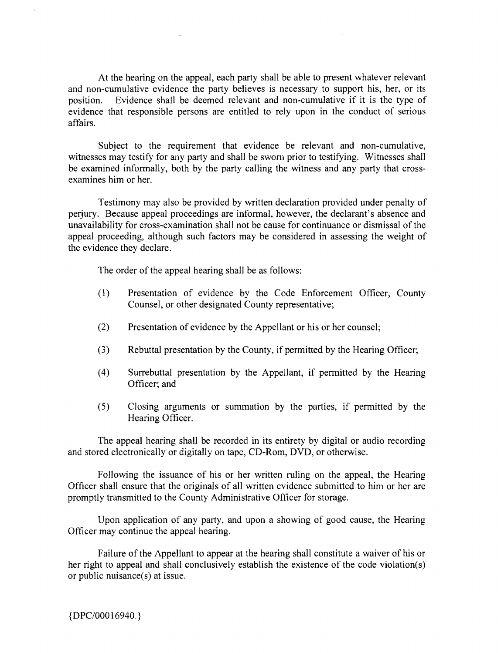At the hearing on the appeal, each party shall be able to present whatever relevant At the hearing on the appeal, each party shall be able to present whatever relevant and non-cumulative evidence the party believes is necessary to support his, her, or its and non-cumulative evidence the party believes is necessary to support his, her, or its position. Evidence shall be deemed relevant and non-cumulative if it is the type of evidence that responsible persons are entitled to rely upon in the conduct of serious evidence that responsible persons are entitled to rely upon in the conduct of serious affairs. affairs.

Subject to the requirement that evidence be relevant and non-cumulative, Subject to the requirement that evidence be relevant and non-cumulative, witnesses may testify for any party and shall be sworn prior to testifying. Witnesses shall witnesses may testify for any party and shall be sworn prior to testifying. Witnesses shall be examined informally, both by the party calling the witness and any party that cross-be examined informally, both by the party calling the witness and any party that crossexamines him or her. examines him or her.

Testimony may also be provided by written declaration provided under penalty of Testimony may also be provided by written declaration provided under penalty of perjury. Because appeal proceedings are informal, however, the declarant's absence and perjury. Because appeal proceedings are informal, however, the declarant's absence and unavailability for cross-examination shall not be cause for continuance or dismissal of the unavailability for cross-examination shall not be cause for continuance or dismissal of the appeal proceeding, although such factors may be considered in assessing the weight of the evidence they declare. the evidence they declare.

The order of the appeal hearing shall be as follows: The order of the appeal hearing shall be as follows:

- (1) Presentation of evidence by the Code Enforcement Officer, County (l) Presentation of evidence by the Code Enforcement Officer, County Counsel, or other designated County representative; Counsel, or other designated County representative;
- (2) Presentation of evidence by the Appellant or his or her counsel; (2) Presentation of evidence by the Appellant or his or her counsel;
- (3) Rebuttal presentation by the County, if permitted by the Hearing Officer; (3) Rebuttal presentation by the County, if permitted by the Hearing Officer;
- (4) Surrebuttal presentation by the Appellant, if permitted by the Hearing (4) Surrebuttal presentation by the Appellant, if permitted by the Hearing Officer; and Officer; and
- (5) Closing arguments or summation by the parties, if permitted by the (5) Closing arguments or summation by the parties, if permitted by the Hearing Officer. Hearing Officer.

The appeal hearing shall be recorded in its entirety by digital or audio recording The appeal hearing shall be recorded in its entirety by digital or audio recording and stored electronically or digitally on tape, CD-Rom, DVD, or otherwise. and stored electronically or digitally on tape, CD-Rom, OVO, or otherwise.

Following the issuance of his or her written ruling on the appeal, the Hearing Following the issuance of his or her written ruling on the appeal, the Hearing Officer shall ensure that the originals of all written evidence submitted to him or her are Officer shall ensure that the originals of all written evidence submitted to him or her are promptly transmitted to the County Administrative Officer for storage. promptly transmitted to the County Administrative Officer for storage.

Upon application of any party, and upon a showing of good cause, the Hearing Upon application of any party, and upon a showing of good cause, the Hearing Officer may continue the appeal hearing. Officer may continue the appeal hearing.

Failure of the Appellant to appear at the hearing shall constitute a waiver of his or Failure of the Appellant to appear at the hearing shall constitute a waiver of his or her right to appeal and shall conclusively establish the existence of the code violation(s) her right to appeal and shall conclusively establish the existence of the code violation(s) or public nuisance(s) at issue. or public nuisance(s) at issue.

{DPC/00016940.) {O*PCIOOO* 16940. }